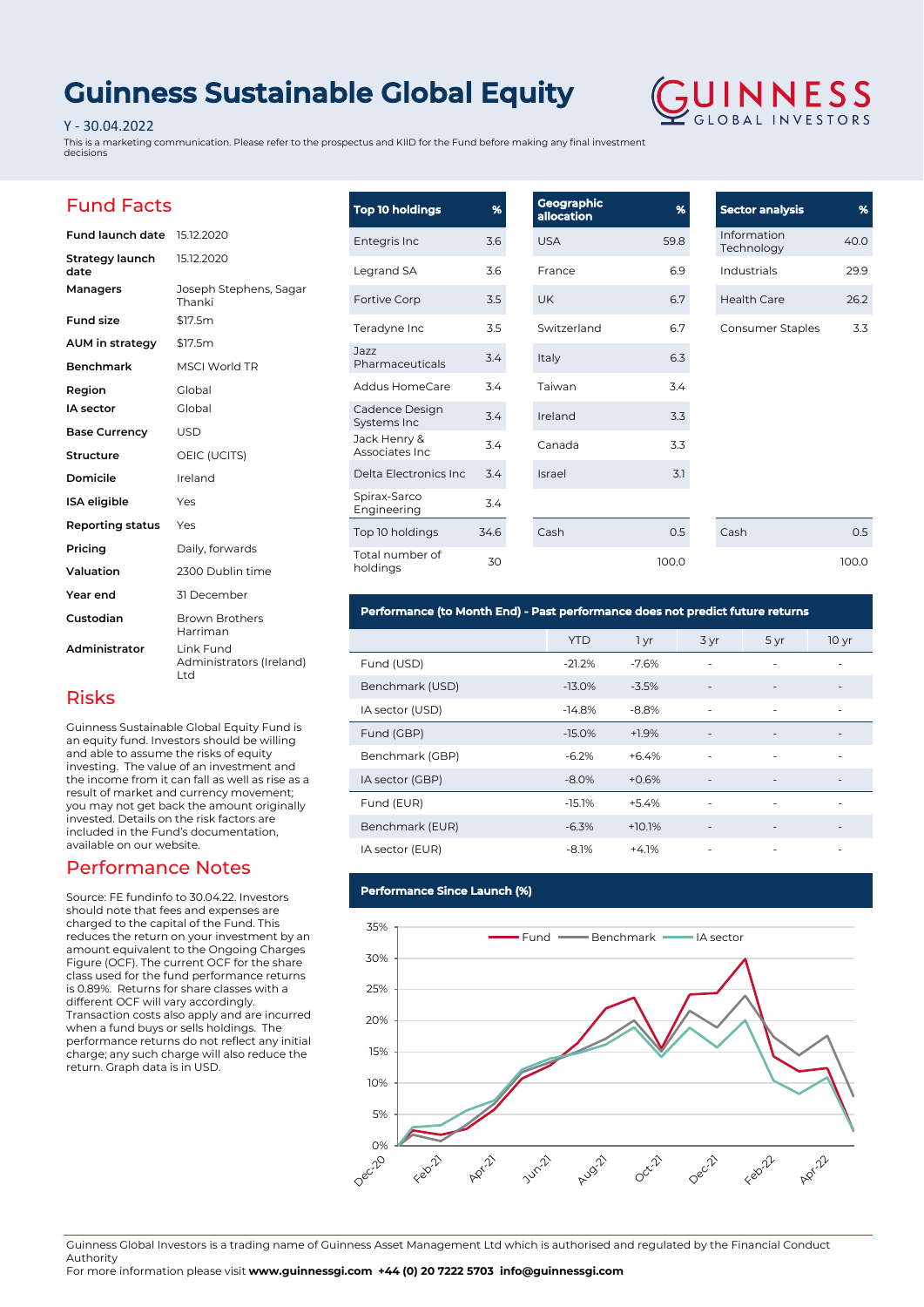# **Guinness Sustainable Global Equity**

### Y - 30.04.2022

This is a marketing communication. Please refer to the prospectus and KIID for the Fund before making any final investment decisions



29.9  $26.2$ 

 $0.5$ 100.0

### Fund Facts

| <b>Fund launch date</b> | 15.12.2020                                   |
|-------------------------|----------------------------------------------|
| Strategy launch<br>date | 15.12.2020                                   |
| Managers                | Joseph Stephens, Sagar<br>Thanki             |
| <b>Fund size</b>        | \$17.5m                                      |
| AUM in strategy         | \$17.5m                                      |
| <b>Benchmark</b>        | <b>MSCI World TR</b>                         |
| Region                  | Global                                       |
| IA sector               | Global                                       |
| <b>Base Currency</b>    | USD                                          |
| Structure               | OEIC (UCITS)                                 |
| Domicile                | Ireland                                      |
| <b>ISA</b> eligible     | Yes                                          |
| Reporting status        | Yes                                          |
| Pricing                 | Daily, forwards                              |
| Valuation               | 2300 Dublin time                             |
| Year end                | 31 December                                  |
| Custodian               | <b>Brown Brothers</b><br>Harriman            |
| Administrator           | Link Fund<br>Administrators (Ireland)<br>Ltd |

| <b>Top 10 holdings</b>          | %    | <b>Geographic</b><br>allocation | %     | <b>Sector analysis</b>    | %     |
|---------------------------------|------|---------------------------------|-------|---------------------------|-------|
| Entegris Inc                    | 3.6  | <b>USA</b>                      | 59.8  | Information<br>Technology | 40.0  |
| Legrand SA                      | 3.6  | France                          | 6.9   | Industrials               | 29.9  |
| Fortive Corp                    | 3.5  | <b>UK</b>                       | 6.7   | <b>Health Care</b>        | 26.2  |
| Teradyne Inc                    | 3.5  | Switzerland                     | 6.7   | Consumer Staples          | 3.3   |
| Jazz<br>Pharmaceuticals         | 3.4  | Italy                           | 6.3   |                           |       |
| <b>Addus HomeCare</b>           | 3.4  | Taiwan                          | 3.4   |                           |       |
| Cadence Design<br>Systems Inc   | 3.4  | Ireland                         | 3.3   |                           |       |
| Jack Henry &<br>Associates Inc. | 3.4  | Canada                          | 3.3   |                           |       |
| Delta Electronics Inc           | 3.4  | Israel                          | 3.1   |                           |       |
| Spirax-Sarco<br>Engineering     | 3.4  |                                 |       |                           |       |
| Top 10 holdings                 | 34.6 | Cash                            | 0.5   | Cash                      | 0.5   |
| Total number of<br>holdings     | 30   |                                 | 100.0 |                           | 100.0 |

### **Performance (to Month End) - Past performance does not predict future returns**

|                 | <b>YTD</b> | 1 yr     | 3 yr                     | 5 yr                         | 10 <sub>yr</sub>             |
|-----------------|------------|----------|--------------------------|------------------------------|------------------------------|
| Fund (USD)      | $-21.2%$   | $-7.6%$  |                          | ٠                            |                              |
| Benchmark (USD) | $-13.0%$   | $-3.5%$  | $\overline{\phantom{a}}$ | $\overline{\phantom{a}}$     | $\overline{\phantom{a}}$     |
| IA sector (USD) | $-14.8%$   | $-8.8%$  | ٠                        | ٠                            | ٠                            |
| Fund (GBP)      | $-15.0%$   | $+1.9%$  | $\overline{\phantom{a}}$ | $\overline{\phantom{a}}$     | $\overline{\phantom{a}}$     |
| Benchmark (GBP) | $-6.2%$    | $+6.4%$  | $\overline{\phantom{a}}$ | ۰                            | ۰                            |
| IA sector (GBP) | $-8.0%$    | $+0.6%$  | $\overline{\phantom{a}}$ | $\overline{\phantom{a}}$     | $\qquad \qquad -$            |
| Fund (EUR)      | $-15.1%$   | $+5.4%$  | ٠                        | ٠                            | ٠                            |
| Benchmark (EUR) | $-6.3%$    | $+10.1%$ |                          | $\qquad \qquad \blacksquare$ | $\qquad \qquad \blacksquare$ |
| IA sector (EUR) | $-8.1%$    | $+4.1%$  | ٠                        | ٠                            | ٠                            |

### **Performance Since Launch (%)**



Guinness Global Investors is a trading name of Guinness Asset Management Ltd which is authorised and regulated by the Financial Conduct Authority

For more information please visit **www.guinnessgi.com +44 (0) 20 7222 5703 info@guinnessgi.com** 

### Risks

Guinness Sustainable Global Equity Fund is an equity fund. Investors should be willing and able to assume the risks of equity investing. The value of an investment and the income from it can fall as well as rise as a result of market and currency movement; you may not get back the amount originally invested. Details on the risk factors are included in the Fund's documentation, available on our website.

### Performance Notes

Source: FE fundinfo to 30.04.22. Investors should note that fees and expenses are charged to the capital of the Fund. This reduces the return on your investment by an amount equivalent to the Ongoing Charges Figure (OCF). The current OCF for the share class used for the fund performance returns is 0.89%. Returns for share classes with a different OCF will vary accordingly. Transaction costs also apply and are incurred when a fund buys or sells holdings. The performance returns do not reflect any initial charge; any such charge will also reduce the return. Graph data is in USD.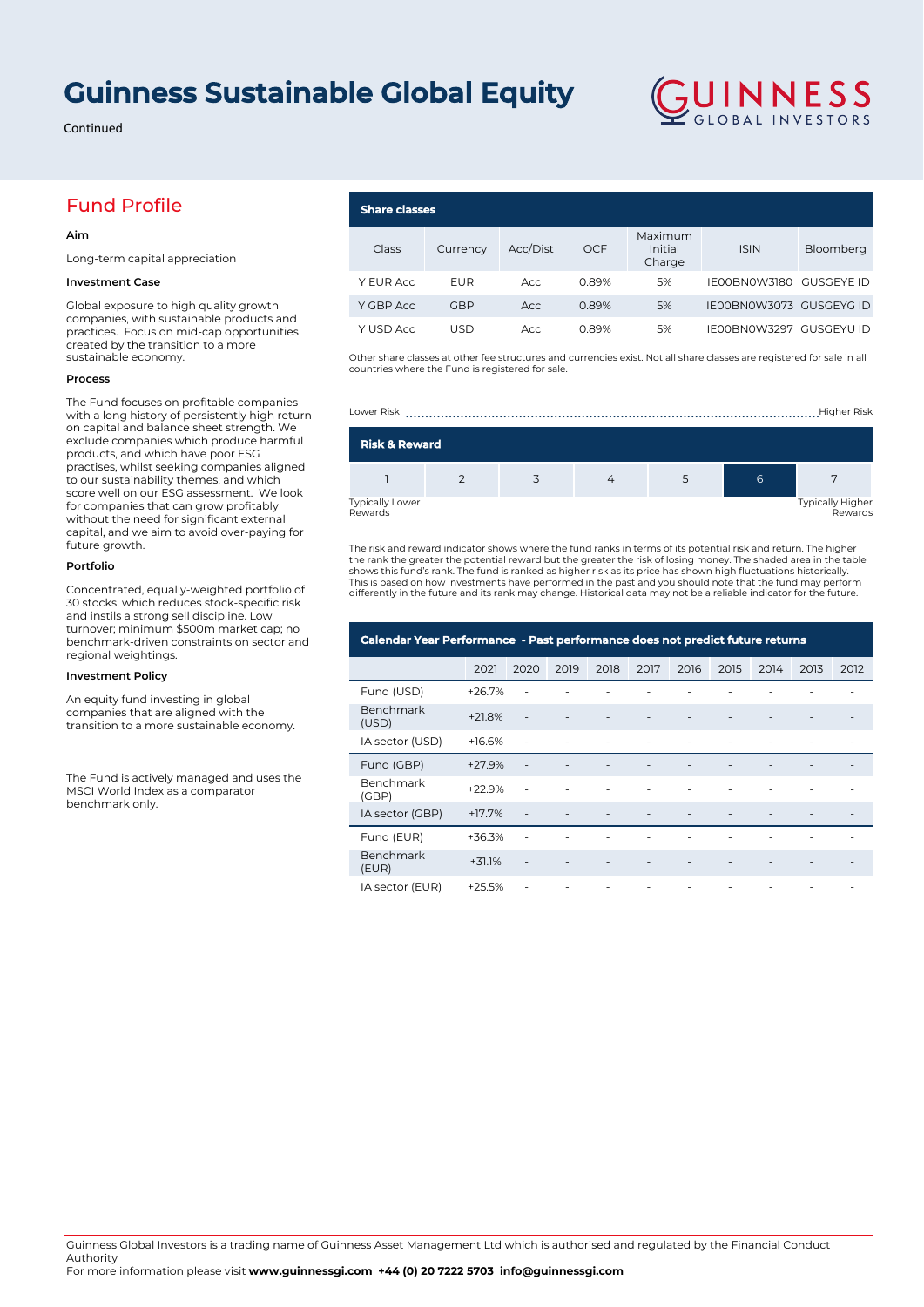## **Guinness Sustainable Global Equity**

Continued

### Fund Profile

### **Aim**

Long-term capital appreciation

### **Investment Case**

Global exposure to high quality growth companies, with sustainable products and practices. Focus on mid-cap opportunities created by the transition to a more sustainable economy.

### **Process**

The Fund focuses on profitable companies with a long history of persistently high return on capital and balance sheet strength. We exclude companies which produce harmful products, and which have poor ESG practises, whilst seeking companies aligned to our sustainability themes, and which score well on our ESG assessment. We look for companies that can grow profitably without the need for significant external capital, and we aim to avoid over-paying for future growth.

#### **Portfolio**

Concentrated, equally-weighted portfolio of 30 stocks, which reduces stock-specific risk and instils a strong sell discipline. Low turnover; minimum \$500m market cap; no benchmark-driven constraints on sector and regional weightings.

#### **Investment Policy**

An equity fund investing in global companies that are aligned with the transition to a more sustainable economy.

The Fund is actively managed and uses the MSCI World Index as a comparator benchmark only.

#### **Share classes** Class Currency Acc/Dist OCF Maximum Initial Charge ISIN Bloomberg Y EUR Acc EUR Acc 0.89% 5% IE00BN0W3180 GUSGEYE ID

Other share classes at other fee structures and currencies exist. Not all share classes are registered for sale in all countries where the Fund is registered for sale.

Y GBP Acc GBP Acc 0.89% 5% IE00BN0W3073 GUSGEYG ID Y USD Acc USD Acc 0.89% 5% IE00BN0W3297 GUSGEYU ID

GUINNESS

Lower Risk ..........................................................................................................Higher Risk

| <b>Risk &amp; Reward</b>          |  |  |  |   |                                    |
|-----------------------------------|--|--|--|---|------------------------------------|
|                                   |  |  |  | 6 |                                    |
| <b>Typically Lower</b><br>Rewards |  |  |  |   | <b>Typically Higher</b><br>Rewards |

The risk and reward indicator shows where the fund ranks in terms of its potential risk and return. The higher the rank the greater the potential reward but the greater the risk of losing money. The shaded area in the table<br>shows this fund's rank. The fund is ranked as higher risk as its price has shown high fluctuations historical This is based on how investments have performed in the past and you should note that the fund may perform differently in the future and its rank may change. Historical data may not be a reliable indicator for the future.

| Calendar Year Performance - Past performance does not predict future returns |          |                          |      |      |      |      |      |      |      |      |
|------------------------------------------------------------------------------|----------|--------------------------|------|------|------|------|------|------|------|------|
|                                                                              | 2021     | 2020                     | 2019 | 2018 | 2017 | 2016 | 2015 | 2014 | 2013 | 2012 |
| Fund (USD)                                                                   | $+26.7%$ |                          |      |      |      |      |      |      |      |      |
| Benchmark<br>(USD)                                                           | $+21.8%$ |                          |      |      |      |      |      |      |      |      |
| IA sector (USD)                                                              | $+16.6%$ |                          |      |      | ٠    |      |      |      |      |      |
| Fund (GBP)                                                                   | $+27.9%$ |                          |      |      |      |      |      |      |      |      |
| Benchmark<br>(GBP)                                                           | $+22.9%$ |                          |      |      |      |      |      |      |      |      |
| IA sector (GBP)                                                              | $+17.7%$ |                          |      |      |      |      |      |      |      |      |
| Fund (EUR)                                                                   | $+36.3%$ |                          |      |      |      |      |      |      |      |      |
| Benchmark<br>(EUR)                                                           | $+31.1%$ | $\overline{\phantom{a}}$ |      |      |      |      |      |      |      |      |
| IA sector (EUR)                                                              | $+25.5%$ | ٠                        |      |      | ٠    | ٠    |      |      |      |      |